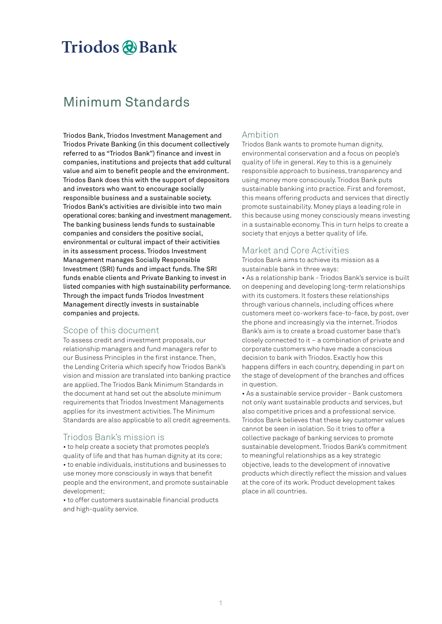# Triodos @Bank

## Minimum Standards

Triodos Bank, Triodos Investment Management and Triodos Private Banking (in this document collectively referred to as "Triodos Bank") finance and invest in companies, institutions and projects that add cultural value and aim to benefit people and the environment. Triodos Bank does this with the support of depositors and investors who want to encourage socially responsible business and a sustainable society. Triodos Bank's activities are divisible into two main operational cores: banking and investment management. The banking business lends funds to sustainable companies and considers the positive social, environmental or cultural impact of their activities in its assessment process. Triodos Investment Management manages Socially Responsible Investment (SRI) funds and impact funds. The SRI funds enable clients and Private Banking to invest in listed companies with high sustainability performance. Through the impact funds Triodos Investment Management directly invests in sustainable companies and projects.

## Scope of this document

To assess credit and investment proposals, our relationship managers and fund managers refer to our Business Principles in the first instance. Then, the Lending Criteria which specify how Triodos Bank's vision and mission are translated into banking practice are applied. The Triodos Bank Minimum Standards in the document at hand set out the absolute minimum requirements that Triodos Investment Managements applies for its investment activities. The Minimum Standards are also applicable to all credit agreements.

## Triodos Bank's mission is

• to help create a society that promotes people's quality of life and that has human dignity at its core; • to enable individuals, institutions and businesses to use money more consciously in ways that benefit people and the environment, and promote sustainable development;

• to offer customers sustainable financial products and high-quality service.

## Ambition

Triodos Bank wants to promote human dignity, environmental conservation and a focus on people's quality of life in general. Key to this is a genuinely responsible approach to business, transparency and using money more consciously. Triodos Bank puts sustainable banking into practice. First and foremost, this means offering products and services that directly promote sustainability. Money plays a leading role in this because using money consciously means investing in a sustainable economy. This in turn helps to create a society that enjoys a better quality of life.

## Market and Core Activities

Triodos Bank aims to achieve its mission as a sustainable bank in three ways:

• As a relationship bank - Triodos Bank's service is built on deepening and developing long-term relationships with its customers. It fosters these relationships through various channels, including offices where customers meet co-workers face-to-face, by post, over the phone and increasingly via the internet. Triodos Bank's aim is to create a broad customer base that's closely connected to it – a combination of private and corporate customers who have made a conscious decision to bank with Triodos. Exactly how this happens differs in each country, depending in part on the stage of development of the branches and offices in question.

• As a sustainable service provider - Bank customers not only want sustainable products and services, but also competitive prices and a professional service. Triodos Bank believes that these key customer values cannot be seen in isolation. So it tries to offer a collective package of banking services to promote sustainable development. Triodos Bank's commitment to meaningful relationships as a key strategic objective, leads to the development of innovative products which directly reflect the mission and values at the core of its work. Product development takes place in all countries.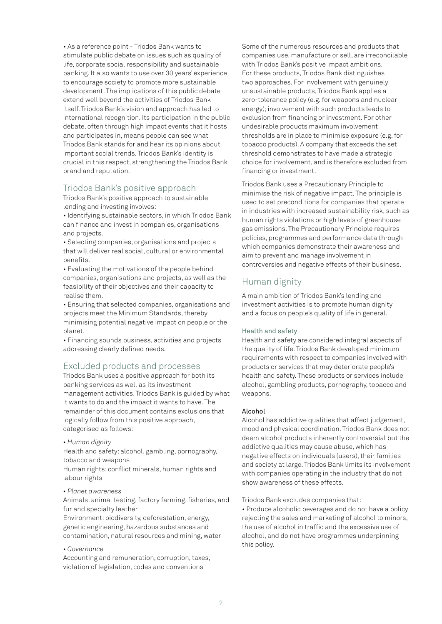• As a reference point - Triodos Bank wants to stimulate public debate on issues such as quality of life, corporate social responsibility and sustainable banking. It also wants to use over 30 years' experience to encourage society to promote more sustainable development. The implications of this public debate extend well beyond the activities of Triodos Bank itself. Triodos Bank's vision and approach has led to international recognition. Its participation in the public debate, often through high impact events that it hosts and participates in, means people can see what Triodos Bank stands for and hear its opinions about important social trends. Triodos Bank's identity is crucial in this respect, strengthening the Triodos Bank brand and reputation.

## Triodos Bank's positive approach

Triodos Bank's positive approach to sustainable lending and investing involves:

• Identifying sustainable sectors, in which Triodos Bank can finance and invest in companies, organisations and projects.

• Selecting companies, organisations and projects that will deliver real social, cultural or environmental benefits.

• Evaluating the motivations of the people behind companies, organisations and projects, as well as the feasibility of their objectives and their capacity to realise them.

• Ensuring that selected companies, organisations and projects meet the Minimum Standards, thereby minimising potential negative impact on people or the planet.

• Financing sounds business, activities and projects addressing clearly defined needs.

## Excluded products and processes

Triodos Bank uses a positive approach for both its banking services as well as its investment management activities. Triodos Bank is guided by what it wants to do and the impact it wants to have. The remainder of this document contains exclusions that logically follow from this positive approach, categorised as follows:

## *• Human dignity*

Health and safety: alcohol, gambling, pornography, tobacco and weapons

Human rights: conflict minerals, human rights and labour rights

## *• Planet awareness*

Animals: animal testing, factory farming, fisheries, and fur and specialty leather

Environment: biodiversity, deforestation, energy, genetic engineering, hazardous substances and contamination, natural resources and mining, water

#### *• Governance*

Accounting and remuneration, corruption, taxes, violation of legislation, codes and conventions

Some of the numerous resources and products that companies use, manufacture or sell, are irreconcilable with Triodos Bank's positive impact ambitions. For these products, Triodos Bank distinguishes two approaches. For involvement with genuinely unsustainable products, Triodos Bank applies a zero-tolerance policy (e.g. for weapons and nuclear energy); involvement with such products leads to exclusion from financing or investment. For other undesirable products maximum involvement thresholds are in place to minimise exposure (e.g. for tobacco products). A company that exceeds the set threshold demonstrates to have made a strategic choice for involvement, and is therefore excluded from financing or investment.

Triodos Bank uses a Precautionary Principle to minimise the risk of negative impact. The principle is used to set preconditions for companies that operate in industries with increased sustainability risk, such as human rights violations or high levels of greenhouse gas emissions. The Precautionary Principle requires policies, programmes and performance data through which companies demonstrate their awareness and aim to prevent and manage involvement in controversies and negative effects of their business.

## Human dignity

A main ambition of Triodos Bank's lending and investment activities is to promote human dignity and a focus on people's quality of life in general.

#### Health and safety

Health and safety are considered integral aspects of the quality of life. Triodos Bank developed minimum requirements with respect to companies involved with products or services that may deteriorate people's health and safety. These products or services include alcohol, gambling products, pornography, tobacco and weapons.

#### Alcohol

Alcohol has addictive qualities that affect judgement, mood and physical coordination. Triodos Bank does not deem alcohol products inherently controversial but the addictive qualities may cause abuse, which has negative effects on individuals (users), their families and society at large. Triodos Bank limits its involvement with companies operating in the industry that do not show awareness of these effects.

Triodos Bank excludes companies that:

• Produce alcoholic beverages and do not have a policy rejecting the sales and marketing of alcohol to minors, the use of alcohol in traffic and the excessive use of alcohol, and do not have programmes underpinning this policy.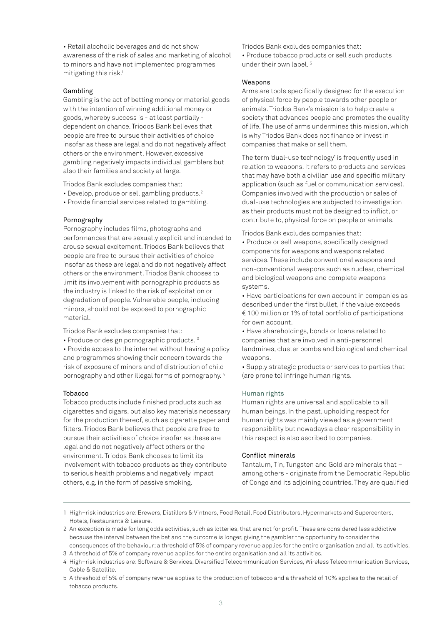• Retail alcoholic beverages and do not show awareness of the risk of sales and marketing of alcohol to minors and have not implemented programmes mitigating this risk.1

## Gambling

Gambling is the act of betting money or material goods with the intention of winning additional money or goods, whereby success is - at least partially dependent on chance. Triodos Bank believes that people are free to pursue their activities of choice insofar as these are legal and do not negatively affect others or the environment. However, excessive gambling negatively impacts individual gamblers but also their families and society at large.

Triodos Bank excludes companies that:

- Develop, produce or sell gambling products.<sup>2</sup>
- Provide financial services related to gambling.

## Pornography

Pornography includes films, photographs and performances that are sexually explicit and intended to arouse sexual excitement. Triodos Bank believes that people are free to pursue their activities of choice insofar as these are legal and do not negatively affect others or the environment. Triodos Bank chooses to limit its involvement with pornographic products as the industry is linked to the risk of exploitation or degradation of people. Vulnerable people, including minors, should not be exposed to pornographic material.

Triodos Bank excludes companies that:

• Produce or design pornographic products. 3

• Provide access to the internet without having a policy and programmes showing their concern towards the risk of exposure of minors and of distribution of child pornography and other illegal forms of pornography. 4

#### **Tobacco**

Tobacco products include finished products such as cigarettes and cigars, but also key materials necessary for the production thereof, such as cigarette paper and filters. Triodos Bank believes that people are free to pursue their activities of choice insofar as these are legal and do not negatively affect others or the environment. Triodos Bank chooses to limit its involvement with tobacco products as they contribute to serious health problems and negatively impact others, e.g. in the form of passive smoking.

Triodos Bank excludes companies that:

• Produce tobacco products or sell such products under their own label. 5

#### Weapons

Arms are tools specifically designed for the execution of physical force by people towards other people or animals. Triodos Bank's mission is to help create a society that advances people and promotes the quality of life. The use of arms undermines this mission, which is why Triodos Bank does not finance or invest in companies that make or sell them.

The term 'dual-use technology' is frequently used in relation to weapons. It refers to products and services that may have both a civilian use and specific military application (such as fuel or communication services). Companies involved with the production or sales of dual-use technologies are subjected to investigation as their products must not be designed to inflict, or contribute to, physical force on people or animals.

- Triodos Bank excludes companies that:
- Produce or sell weapons, specifically designed components for weapons and weapons related services. These include conventional weapons and non-conventional weapons such as nuclear, chemical and biological weapons and complete weapons systems.

• Have participations for own account in companies as described under the first bullet, if the value exceeds € 100 million or 1% of total portfolio of participations for own account.

• Have shareholdings, bonds or loans related to companies that are involved in anti-personnel landmines, cluster bombs and biological and chemical weapons.

• Supply strategic products or services to parties that (are prone to) infringe human rights.

## Human rights

Human rights are universal and applicable to all human beings. In the past, upholding respect for human rights was mainly viewed as a government responsibility but nowadays a clear responsibility in this respect is also ascribed to companies.

#### Conflict minerals

Tantalum, Tin, Tungsten and Gold are minerals that – among others - originate from the Democratic Republic of Congo and its adjoining countries. They are qualified

1 High–risk industries are: Brewers, Distillers & Vintners, Food Retail, Food Distributors, Hypermarkets and Supercenters, Hotels, Restaurants & Leisure.

2 An exception is made for long odds activities, such as lotteries, that are not for profit. These are considered less addictive because the interval between the bet and the outcome is longer, giving the gambler the opportunity to consider the consequences of the behaviour; a threshold of 5% of company revenue applies for the entire organisation and all its activities.

- 3 A threshold of 5% of company revenue applies for the entire organisation and all its activities.
- 4 High–risk industries are: Software & Services, Diversified Telecommunication Services, Wireless Telecommunication Services, Cable & Satellite.
- 5 A threshold of 5% of company revenue applies to the production of tobacco and a threshold of 10% applies to the retail of tobacco products.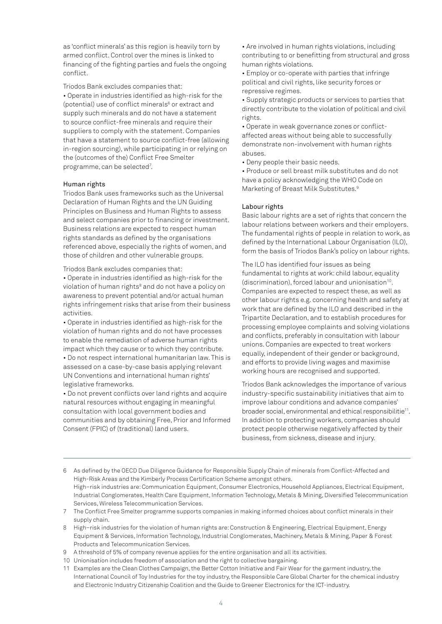as 'conflict minerals' as this region is heavily torn by armed conflict. Control over the mines is linked to financing of the fighting parties and fuels the ongoing conflict.

Triodos Bank excludes companies that:

• Operate in industries identified as high-risk for the (potential) use of conflict minerals<sup>6</sup> or extract and supply such minerals and do not have a statement to source conflict-free minerals and require their suppliers to comply with the statement. Companies that have a statement to source conflict-free (allowing in-region sourcing), while participating in or relying on the (outcomes of the) Conflict Free Smelter programme, can be selected<sup>7</sup>.

#### Human rights

Triodos Bank uses frameworks such as the Universal Declaration of Human Rights and the UN Guiding Principles on Business and Human Rights to assess and select companies prior to financing or investment. Business relations are expected to respect human rights standards as defined by the organisations referenced above, especially the rights of women, and those of children and other vulnerable groups.

Triodos Bank excludes companies that:

• Operate in industries identified as high-risk for the violation of human rights<sup>8</sup> and do not have a policy on awareness to prevent potential and/or actual human rights infringement risks that arise from their business activities.

• Operate in industries identified as high-risk for the violation of human rights and do not have processes to enable the remediation of adverse human rights impact which they cause or to which they contribute. • Do not respect international humanitarian law. This is assessed on a case-by-case basis applying relevant UN Conventions and international human rights' legislative frameworks.

• Do not prevent conflicts over land rights and acquire natural resources without engaging in meaningful consultation with local government bodies and communities and by obtaining Free, Prior and Informed Consent (FPIC) of (traditional) land users.

• Are involved in human rights violations, including contributing to or benefitting from structural and gross human rights violations.

• Employ or co-operate with parties that infringe political and civil rights, like security forces or repressive regimes.

• Supply strategic products or services to parties that directly contribute to the violation of political and civil rights.

• Operate in weak governance zones or conflictaffected areas without being able to successfully demonstrate non-involvement with human rights abuses.

• Deny people their basic needs.

• Produce or sell breast milk substitutes and do not have a policy acknowledging the WHO Code on Marketing of Breast Milk Substitutes.9

## Labour rights

Basic labour rights are a set of rights that concern the labour relations between workers and their employers. The fundamental rights of people in relation to work, as defined by the International Labour Organisation (ILO), form the basis of Triodos Bank's policy on labour rights.

The ILO has identified four issues as being fundamental to rights at work: child labour, equality (discrimination), forced labour and unionisation<sup>10</sup>. Companies are expected to respect these, as well as other labour rights e.g. concerning health and safety at work that are defined by the ILO and described in the Tripartite Declaration, and to establish procedures for processing employee complaints and solving violations and conflicts, preferably in consultation with labour unions. Companies are expected to treat workers equally, independent of their gender or background, and efforts to provide living wages and maximise working hours are recognised and supported.

Triodos Bank acknowledges the importance of various industry-specific sustainability initiatives that aim to improve labour conditions and advance companies' broader social, environmental and ethical responsibilitie<sup>11</sup>. In addition to protecting workers, companies should protect people otherwise negatively affected by their business, from sickness, disease and injury.

- 6 As defined by the OECD Due Diligence Guidance for Responsible Supply Chain of minerals from Conflict-Affected and High-Risk Areas and the Kimberly Process Certification Scheme amongst others. High–risk industries are: Communication Equipment, Consumer Electronics, Household Appliances, Electrical Equipment, Industrial Conglomerates, Health Care Equipment, Information Technology, Metals & Mining, Diversified Telecommunication Services, Wireless Telecommunication Services.
- 7 The Conflict Free Smelter programme supports companies in making informed choices about conflict minerals in their supply chain.
- 8 High–risk industries for the violation of human rights are: Construction & Engineering, Electrical Equipment, Energy Equipment & Services, Information Technology, Industrial Conglomerates, Machinery, Metals & Mining, Paper & Forest Products and Telecommunication Services.
- 9 A threshold of 5% of company revenue applies for the entire organisation and all its activities.
- 10 Unionisation includes freedom of association and the right to collective bargaining.
- 11 Examples are the Clean Clothes Campaign, the Better Cotton Initiative and Fair Wear for the garment industry, the International Council of Toy Industries for the toy industry, the Responsible Care Global Charter for the chemical industry and Electronic Industry Citizenship Coalition and the Guide to Greener Electronics for the ICT-industry.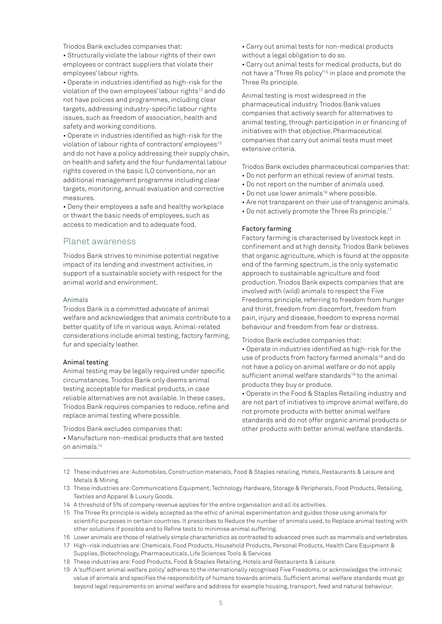Triodos Bank excludes companies that:

• Structurally violate the labour rights of their own employees or contract suppliers that violate their employees' labour rights.

• Operate in industries identified as high-risk for the violation of the own employees' labour rights<sup>12</sup> and do not have policies and programmes, including clear targets, addressing industry-specific labour rights issues, such as freedom of association, health and safety and working conditions.

• Operate in industries identified as high-risk for the violation of labour rights of contractors' employees<sup>13</sup> and do not have a policy addressing their supply chain, on health and safety and the four fundamental labour rights covered in the basic ILO conventions, nor an additional management programme including clear targets, monitoring, annual evaluation and corrective measures.

• Deny their employees a safe and healthy workplace or thwart the basic needs of employees, such as access to medication and to adequate food.

## Planet awareness

Triodos Bank strives to minimise potential negative impact of its lending and investment activities, in support of a sustainable society with respect for the animal world and environment.

## Animals

Triodos Bank is a committed advocate of animal welfare and acknowledges that animals contribute to a better quality of life in various ways. Animal-related considerations include animal testing, factory farming, fur and specialty leather.

## Animal testing

Animal testing may be legally required under specific circumstances. Triodos Bank only deems animal testing acceptable for medical products, in case reliable alternatives are not available. In these cases, Triodos Bank requires companies to reduce, refine and replace animal testing where possible.

Triodos Bank excludes companies that:

• Manufacture non-medical products that are tested on animals.14

• Carry out animal tests for non-medical products without a legal obligation to do so.

• Carry out animal tests for medical products, but do not have a 'Three Rs policy'15 in place and promote the Three Rs principle.

Animal testing is most widespread in the pharmaceutical industry. Triodos Bank values companies that actively search for alternatives to animal testing, through participation in or financing of initiatives with that objective. Pharmaceutical companies that carry out animal tests must meet extensive criteria.

Triodos Bank excludes pharmaceutical companies that:

- Do not perform an ethical review of animal tests.
- Do not report on the number of animals used.
- Do not use lower animals<sup>16</sup> where possible.
- Are not transparent on their use of transgenic animals.
- Do not actively promote the Three Rs principle.17

## Factory farming

Factory farming is characterised by livestock kept in confinement and at high density. Triodos Bank believes that organic agriculture, which is found at the opposite end of the farming spectrum, is the only systematic approach to sustainable agriculture and food production. Triodos Bank expects companies that are involved with (wild) animals to respect the Five Freedoms principle, referring to freedom from hunger and thirst, freedom from discomfort, freedom from pain, injury and disease, freedom to express normal behaviour and freedom from fear or distress.

Triodos Bank excludes companies that:

• Operate in industries identified as high-risk for the use of products from factory farmed animals<sup>18</sup> and do not have a policy on animal welfare or do not apply sufficient animal welfare standards<sup>19</sup> to the animal products they buy or produce.

• Operate in the Food & Staples Retailing industry and are not part of initiatives to improve animal welfare, do not promote products with better animal welfare standards and do not offer organic animal products or other products with better animal welfare standards.

- 12 These industries are: Automobiles, Construction materials, Food & Staples retailing, Hotels, Restaurants & Leisure and Metals & Mining.
- 13 These industries are: Communications Equipment, Technology Hardware, Storage & Peripherals, Food Products, Retailing, Textiles and Apparel & Luxury Goods.
- 14 A threshold of 5% of company revenue applies for the entire organisation and all its activities.
- 15 The Three Rs principle is widely accepted as the ethic of animal experimentation and guides those using animals for scientific purposes in certain countries. It prescribes to Reduce the number of animals used, to Replace animal testing with other solutions if possible and to Refine tests to minimise animal suffering.
- 16 Lower animals are those of relatively simple characteristics as contrasted to advanced ones such as mammals and vertebrates.
- 17 High–risk industries are: Chemicals, Food Products, Household Products, Personal Products, Health Care Equipment & Supplies, Biotechnology, Pharmaceuticals, Life Sciences Tools & Services
- 18 These industries are: Food Products, Food & Staples Retailing, Hotels and Restaurants & Leisure.
- 19 A 'sufficient animal welfare policy' adheres to the internationally recognised Five Freedoms, or acknowledges the intrinsic value of animals and specifies the responsibility of humans towards animals. Sufficient animal welfare standards must go beyond legal requirements on animal welfare and address for example housing, transport, feed and natural behaviour.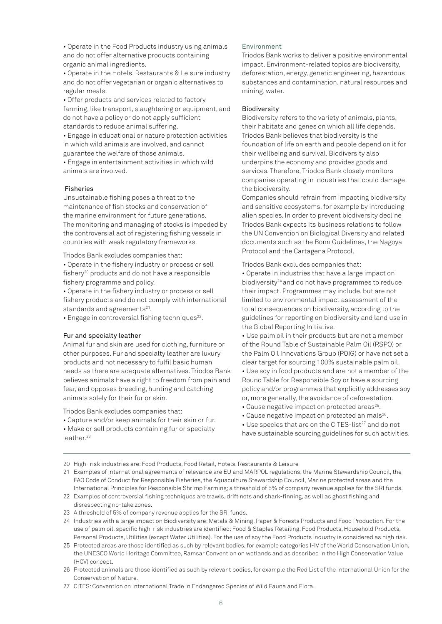• Operate in the Food Products industry using animals and do not offer alternative products containing organic animal ingredients.

• Operate in the Hotels, Restaurants & Leisure industry and do not offer vegetarian or organic alternatives to regular meals.

• Offer products and services related to factory farming, like transport, slaughtering or equipment, and do not have a policy or do not apply sufficient standards to reduce animal suffering.

• Engage in educational or nature protection activities in which wild animals are involved, and cannot guarantee the welfare of those animals.

• Engage in entertainment activities in which wild animals are involved.

## Fisheries

Unsustainable fishing poses a threat to the maintenance of fish stocks and conservation of the marine environment for future generations. The monitoring and managing of stocks is impeded by the controversial act of registering fishing vessels in countries with weak regulatory frameworks.

Triodos Bank excludes companies that:

• Operate in the fishery industry or process or sell  $f$ ishery<sup>20</sup> products and do not have a responsible fishery programme and policy.

• Operate in the fishery industry or process or sell fishery products and do not comply with international standards and agreements<sup>21</sup>.

• Engage in controversial fishing techniques<sup>22</sup>.

## Fur and specialty leather

Animal fur and skin are used for clothing, furniture or other purposes. Fur and specialty leather are luxury products and not necessary to fulfil basic human needs as there are adequate alternatives. Triodos Bank believes animals have a right to freedom from pain and fear, and opposes breeding, hunting and catching animals solely for their fur or skin.

Triodos Bank excludes companies that:

• Capture and/or keep animals for their skin or fur. • Make or sell products containing fur or specialty leather.<sup>23</sup>

## Environment

Triodos Bank works to deliver a positive environmental impact. Environment-related topics are biodiversity, deforestation, energy, genetic engineering, hazardous substances and contamination, natural resources and mining, water.

## Biodiversity

Biodiversity refers to the variety of animals, plants, their habitats and genes on which all life depends. Triodos Bank believes that biodiversity is the foundation of life on earth and people depend on it for their wellbeing and survival. Biodiversity also underpins the economy and provides goods and services. Therefore, Triodos Bank closely monitors companies operating in industries that could damage the biodiversity.

Companies should refrain from impacting biodiversity and sensitive ecosystems, for example by introducing alien species. In order to prevent biodiversity decline Triodos Bank expects its business relations to follow the UN Convention on Biological Diversity and related documents such as the Bonn Guidelines, the Nagoya Protocol and the Cartagena Protocol.

Triodos Bank excludes companies that:

• Operate in industries that have a large impact on biodiversity24 and do not have programmes to reduce their impact. Programmes may include, but are not limited to environmental impact assessment of the total consequences on biodiversity, according to the guidelines for reporting on biodiversity and land use in the Global Reporting Initiative.

• Use palm oil in their products but are not a member of the Round Table of Sustainable Palm Oil (RSPO) or the Palm Oil Innovations Group (POIG) or have not set a clear target for sourcing 100% sustainable palm oil.

• Use soy in food products and are not a member of the Round Table for Responsible Soy or have a sourcing policy and/or programmes that explicitly addresses soy or, more generally, the avoidance of deforestation.

- Cause negative impact on protected areas<sup>25</sup>.
- Cause negative impact on protected animals26.

• Use species that are on the CITES-list<sup>27</sup> and do not have sustainable sourcing guidelines for such activities.

20 High–risk industries are: Food Products, Food Retail, Hotels, Restaurants & Leisure

21 Examples of international agreements of relevance are EU and MARPOL regulations, the Marine Stewardship Council, the FAO Code of Conduct for Responsible Fisheries, the Aquaculture Stewardship Council, Marine protected areas and the International Principles for Responsible Shrimp Farming; a threshold of 5% of company revenue applies for the SRI funds.

22 Examples of controversial fishing techniques are trawls, drift nets and shark-finning, as well as ghost fishing and disrespecting no-take zones.

23 A threshold of 5% of company revenue applies for the SRI funds.

24 Industries with a large impact on Biodiversity are: Metals & Mining, Paper & Forests Products and Food Production. For the use of palm oil, specific high-risk industries are identified: Food & Staples Retailing, Food Products, Household Products, Personal Products, Utilities (except Water Utilities). For the use of soy the Food Products industry is considered as high risk.

25 Protected areas are those identified as such by relevant bodies, for example categories I-IV of the World Conservation Union, the UNESCO World Heritage Committee, Ramsar Convention on wetlands and as described in the High Conservation Value (HCV) concept.

26 Protected animals are those identified as such by relevant bodies, for example the Red List of the International Union for the Conservation of Nature.

27 CITES: Convention on International Trade in Endangered Species of Wild Fauna and Flora.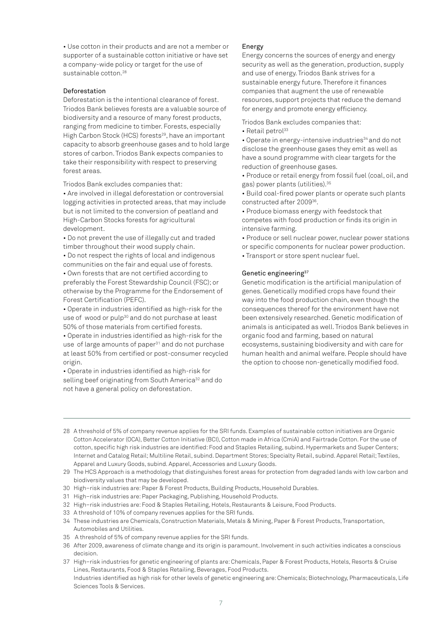• Use cotton in their products and are not a member or supporter of a sustainable cotton initiative or have set a company-wide policy or target for the use of sustainable cotton.<sup>28</sup>

#### Deforestation

Deforestation is the intentional clearance of forest. Triodos Bank believes forests are a valuable source of biodiversity and a resource of many forest products, ranging from medicine to timber. Forests, especially High Carbon Stock (HCS) forests<sup>29</sup>, have an important capacity to absorb greenhouse gases and to hold large stores of carbon. Triodos Bank expects companies to take their responsibility with respect to preserving forest areas.

Triodos Bank excludes companies that:

• Are involved in illegal deforestation or controversial logging activities in protected areas, that may include but is not limited to the conversion of peatland and High-Carbon Stocks forests for agricultural development.

• Do not prevent the use of illegally cut and traded timber throughout their wood supply chain.

• Do not respect the rights of local and indigenous communities on the fair and equal use of forests.

• Own forests that are not certified according to preferably the Forest Stewardship Council (FSC); or otherwise by the Programme for the Endorsement of Forest Certification (PEFC).

• Operate in industries identified as high-risk for the use of wood or pulp<sup>30</sup> and do not purchase at least 50% of those materials from certified forests.

• Operate in industries identified as high-risk for the use of large amounts of paper<sup>31</sup> and do not purchase at least 50% from certified or post-consumer recycled origin.

• Operate in industries identified as high-risk for selling beef originating from South America<sup>32</sup> and do not have a general policy on deforestation.

## Energy

Energy concerns the sources of energy and energy security as well as the generation, production, supply and use of energy. Triodos Bank strives for a sustainable energy future. Therefore it finances companies that augment the use of renewable resources, support projects that reduce the demand for energy and promote energy efficiency.

Triodos Bank excludes companies that:

 $\cdot$  Retail petrol<sup>33</sup>

• Operate in energy-intensive industries<sup>34</sup> and do not disclose the greenhouse gases they emit as well as have a sound programme with clear targets for the reduction of greenhouse gases.

• Produce or retail energy from fossil fuel (coal, oil, and gas) power plants (utilities).35

• Build coal-fired power plants or operate such plants constructed after 200936.

• Produce biomass energy with feedstock that competes with food production or finds its origin in intensive farming.

• Produce or sell nuclear power, nuclear power stations or specific components for nuclear power production.

• Transport or store spent nuclear fuel.

## Genetic engineering<sup>37</sup>

Genetic modification is the artificial manipulation of genes. Genetically modified crops have found their way into the food production chain, even though the consequences thereof for the environment have not been extensively researched. Genetic modification of animals is anticipated as well. Triodos Bank believes in organic food and farming, based on natural ecosystems, sustaining biodiversity and with care for human health and animal welfare. People should have the option to choose non-genetically modified food.

28 A threshold of 5% of company revenue applies for the SRI funds. Examples of sustainable cotton initiatives are Organic Cotton Accelerator (OCA), Better Cotton Initiative (BCI), Cotton made in Africa (CmiA) and Fairtrade Cotton. For the use of cotton, specific high risk industries are identified: Food and Staples Retailing, subind. Hypermarkets and Super Centers; Internet and Catalog Retail; Multiline Retail, subind. Department Stores; Specialty Retail, subind. Apparel Retail; Textiles, Apparel and Luxury Goods, subind. Apparel, Accessories and Luxury Goods.

- 30 High–risk industries are: Paper & Forest Products, Building Products, Household Durables.
- 31 High–risk industries are: Paper Packaging, Publishing, Household Products.
- 32 High–risk industries are: Food & Staples Retailing, Hotels, Restaurants & Leisure, Food Products.
- 33 A threshold of 10% of company revenues applies for the SRI funds.
- 34 These industries are Chemicals, Construction Materials, Metals & Mining, Paper & Forest Products, Transportation, Automobiles and Utilities.
- 35 A threshold of 5% of company revenue applies for the SRI funds.
- 36 After 2009, awareness of climate change and its origin is paramount. Involvement in such activities indicates a conscious decision.

37 High–risk industries for genetic engineering of plants are: Chemicals, Paper & Forest Products, Hotels, Resorts & Cruise Lines, Restaurants, Food & Staples Retailing, Beverages, Food Products. Industries identified as high risk for other levels of genetic engineering are: Chemicals; Biotechnology, Pharmaceuticals, Life Sciences Tools & Services.

<sup>29</sup> The HCS Approach is a methodology that distinguishes forest areas for protection from degraded lands with low carbon and biodiversity values that may be developed.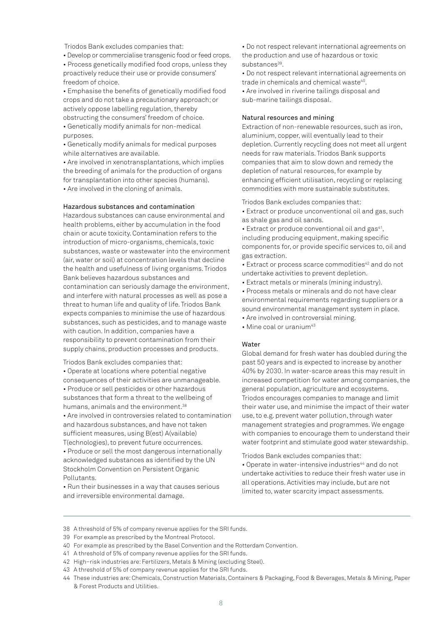Triodos Bank excludes companies that:

• Develop or commercialise transgenic food or feed crops. • Process genetically modified food crops, unless they proactively reduce their use or provide consumers' freedom of choice.

• Emphasise the benefits of genetically modified food crops and do not take a precautionary approach; or actively oppose labelling regulation, thereby obstructing the consumers' freedom of choice.

• Genetically modify animals for non-medical purposes.

• Genetically modify animals for medical purposes while alternatives are available.

• Are involved in xenotransplantations, which implies the breeding of animals for the production of organs for transplantation into other species (humans). • Are involved in the cloning of animals.

### Hazardous substances and contamination

Hazardous substances can cause environmental and health problems, either by accumulation in the food chain or acute toxicity. Contamination refers to the introduction of micro-organisms, chemicals, toxic substances, waste or wastewater into the environment (air, water or soil) at concentration levels that decline the health and usefulness of living organisms. Triodos Bank believes hazardous substances and contamination can seriously damage the environment, and interfere with natural processes as well as pose a threat to human life and quality of life. Triodos Bank expects companies to minimise the use of hazardous substances, such as pesticides, and to manage waste with caution. In addition, companies have a responsibility to prevent contamination from their supply chains, production processes and products.

Triodos Bank excludes companies that:

• Operate at locations where potential negative consequences of their activities are unmanageable.

• Produce or sell pesticides or other hazardous substances that form a threat to the wellbeing of humans, animals and the environment.38

• Are involved in controversies related to contamination and hazardous substances, and have not taken sufficient measures, using B(est) A(vailable) T(echnologies), to prevent future occurrences.

• Produce or sell the most dangerous internationally acknowledged substances as identified by the UN Stockholm Convention on Persistent Organic Pollutants.

• Run their businesses in a way that causes serious and irreversible environmental damage.

• Do not respect relevant international agreements on the production and use of hazardous or toxic substances<sup>39</sup>.

• Do not respect relevant international agreements on trade in chemicals and chemical waste<sup>40</sup>.

• Are involved in riverine tailings disposal and sub-marine tailings disposal.

## Natural resources and mining

Extraction of non-renewable resources, such as iron, aluminium, copper, will eventually lead to their depletion. Currently recycling does not meet all urgent needs for raw materials. Triodos Bank supports companies that aim to slow down and remedy the depletion of natural resources, for example by enhancing efficient utilisation, recycling or replacing commodities with more sustainable substitutes.

Triodos Bank excludes companies that:

• Extract or produce unconventional oil and gas, such as shale gas and oil sands.

• Extract or produce conventional oil and gas<sup>41</sup>, including producing equipment, making specific components for, or provide specific services to, oil and gas extraction.

• Extract or process scarce commodities<sup>42</sup> and do not undertake activities to prevent depletion.

• Extract metals or minerals (mining industry).

• Process metals or minerals and do not have clear environmental requirements regarding suppliers or a sound environmental management system in place.

- Are involved in controversial mining.
- Mine coal or uranium<sup>43</sup>

## **Water**

Global demand for fresh water has doubled during the past 50 years and is expected to increase by another 40% by 2030. In water-scarce areas this may result in increased competition for water among companies, the general population, agriculture and ecosystems. Triodos encourages companies to manage and limit their water use, and minimise the impact of their water use, to e.g. prevent water pollution, through water management strategies and programmes. We engage with companies to encourage them to understand their water footprint and stimulate good water stewardship.

Triodos Bank excludes companies that:

• Operate in water-intensive industries<sup>44</sup> and do not undertake activities to reduce their fresh water use in all operations. Activities may include, but are not limited to, water scarcity impact assessments.

- 38 A threshold of 5% of company revenue applies for the SRI funds.
- 39 For example as prescribed by the Montreal Protocol.
- 40 For example as prescribed by the Basel Convention and the Rotterdam Convention.
- 41 A threshold of 5% of company revenue applies for the SRI funds.
- 42 High–risk industries are: Fertilizers, Metals & Mining (excluding Steel).
- 43 A threshold of 5% of company revenue applies for the SRI funds.

<sup>44</sup> These industries are: Chemicals, Construction Materials, Containers & Packaging, Food & Beverages, Metals & Mining, Paper & Forest Products and Utilities.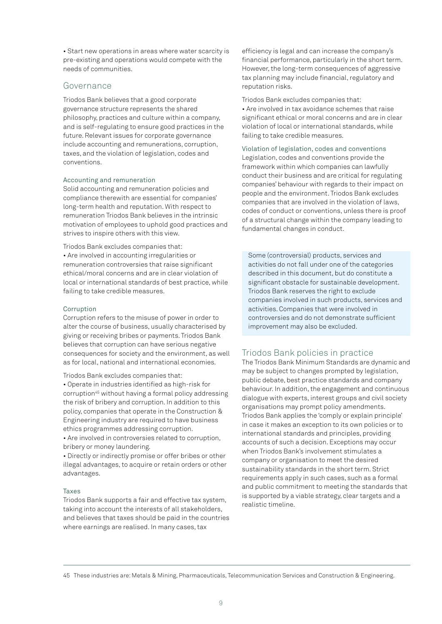• Start new operations in areas where water scarcity is pre-existing and operations would compete with the needs of communities.

## Governance

Triodos Bank believes that a good corporate governance structure represents the shared philosophy, practices and culture within a company, and is self-regulating to ensure good practices in the future. Relevant issues for corporate governance include accounting and remunerations, corruption, taxes, and the violation of legislation, codes and conventions.

## Accounting and remuneration

Solid accounting and remuneration policies and compliance therewith are essential for companies' long-term health and reputation. With respect to remuneration Triodos Bank believes in the intrinsic motivation of employees to uphold good practices and strives to inspire others with this view.

Triodos Bank excludes companies that:

• Are involved in accounting irregularities or remuneration controversies that raise significant ethical/moral concerns and are in clear violation of local or international standards of best practice, while failing to take credible measures.

## Corruption

Corruption refers to the misuse of power in order to alter the course of business, usually characterised by giving or receiving bribes or payments. Triodos Bank believes that corruption can have serious negative consequences for society and the environment, as well as for local, national and international economies.

Triodos Bank excludes companies that:

• Operate in industries identified as high-risk for corruption45 without having a formal policy addressing the risk of bribery and corruption. In addition to this policy, companies that operate in the Construction & Engineering industry are required to have business ethics programmes addressing corruption.

• Are involved in controversies related to corruption, bribery or money laundering.

• Directly or indirectly promise or offer bribes or other illegal advantages, to acquire or retain orders or other advantages.

## Taxes

Triodos Bank supports a fair and effective tax system, taking into account the interests of all stakeholders, and believes that taxes should be paid in the countries where earnings are realised. In many cases, tax

efficiency is legal and can increase the company's financial performance, particularly in the short term. However, the long-term consequences of aggressive tax planning may include financial, regulatory and reputation risks.

Triodos Bank excludes companies that:

• Are involved in tax avoidance schemes that raise significant ethical or moral concerns and are in clear violation of local or international standards, while failing to take credible measures.

Violation of legislation, codes and conventions Legislation, codes and conventions provide the framework within which companies can lawfully conduct their business and are critical for regulating companies' behaviour with regards to their impact on people and the environment. Triodos Bank excludes companies that are involved in the violation of laws, codes of conduct or conventions, unless there is proof of a structural change within the company leading to fundamental changes in conduct.

Some (controversial) products, services and activities do not fall under one of the categories described in this document, but do constitute a significant obstacle for sustainable development. Triodos Bank reserves the right to exclude companies involved in such products, services and activities. Companies that were involved in controversies and do not demonstrate sufficient improvement may also be excluded.

## Triodos Bank policies in practice

The Triodos Bank Minimum Standards are dynamic and may be subject to changes prompted by legislation, public debate, best practice standards and company behaviour. In addition, the engagement and continuous dialogue with experts, interest groups and civil society organisations may prompt policy amendments. Triodos Bank applies the 'comply or explain principle' in case it makes an exception to its own policies or to international standards and principles, providing accounts of such a decision. Exceptions may occur when Triodos Bank's involvement stimulates a company or organisation to meet the desired sustainability standards in the short term. Strict requirements apply in such cases, such as a formal and public commitment to meeting the standards that is supported by a viable strategy, clear targets and a realistic timeline.

<sup>45</sup> These industries are: Metals & Mining, Pharmaceuticals, Telecommunication Services and Construction & Engineering.